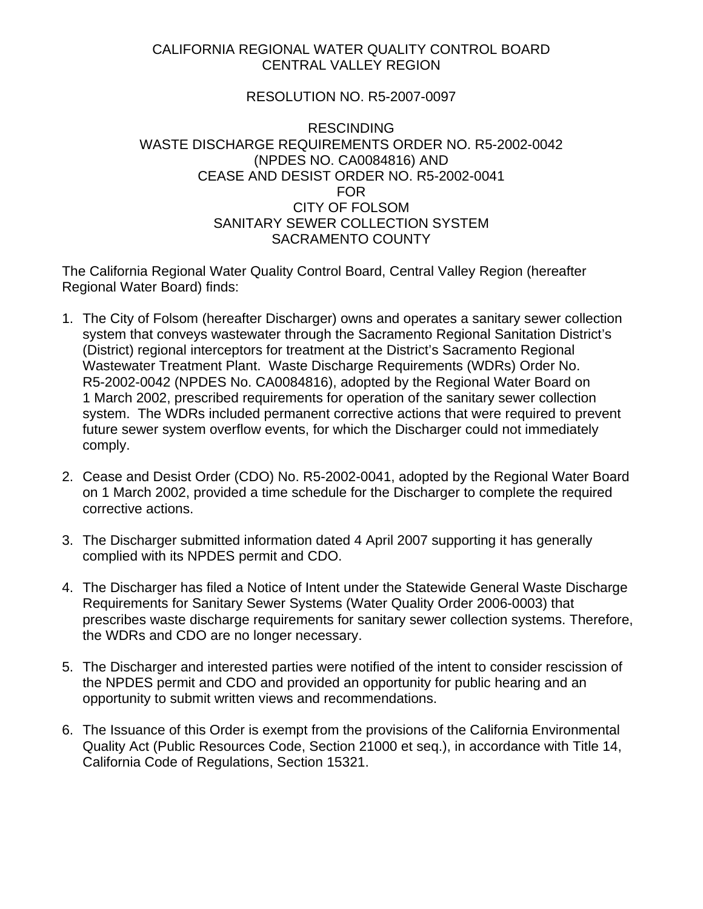## CALIFORNIA REGIONAL WATER QUALITY CONTROL BOARD CENTRAL VALLEY REGION

## RESOLUTION NO. R5-2007-0097

## RESCINDING WASTE DISCHARGE REQUIREMENTS ORDER NO. R5-2002-0042 (NPDES NO. CA0084816) AND CEASE AND DESIST ORDER NO. R5-2002-0041 FOR CITY OF FOLSOM SANITARY SEWER COLLECTION SYSTEM SACRAMENTO COUNTY

The California Regional Water Quality Control Board, Central Valley Region (hereafter Regional Water Board) finds:

- 1. The City of Folsom (hereafter Discharger) owns and operates a sanitary sewer collection system that conveys wastewater through the Sacramento Regional Sanitation District's (District) regional interceptors for treatment at the District's Sacramento Regional Wastewater Treatment Plant. Waste Discharge Requirements (WDRs) Order No. R5-2002-0042 (NPDES No. CA0084816), adopted by the Regional Water Board on 1 March 2002, prescribed requirements for operation of the sanitary sewer collection system. The WDRs included permanent corrective actions that were required to prevent future sewer system overflow events, for which the Discharger could not immediately comply.
- 2. Cease and Desist Order (CDO) No. R5-2002-0041, adopted by the Regional Water Board on 1 March 2002, provided a time schedule for the Discharger to complete the required corrective actions.
- 3. The Discharger submitted information dated 4 April 2007 supporting it has generally complied with its NPDES permit and CDO.
- 4. The Discharger has filed a Notice of Intent under the Statewide General Waste Discharge Requirements for Sanitary Sewer Systems (Water Quality Order 2006-0003) that prescribes waste discharge requirements for sanitary sewer collection systems. Therefore, the WDRs and CDO are no longer necessary.
- 5. The Discharger and interested parties were notified of the intent to consider rescission of the NPDES permit and CDO and provided an opportunity for public hearing and an opportunity to submit written views and recommendations.
- 6. The Issuance of this Order is exempt from the provisions of the California Environmental Quality Act (Public Resources Code, Section 21000 et seq.), in accordance with Title 14, California Code of Regulations, Section 15321.